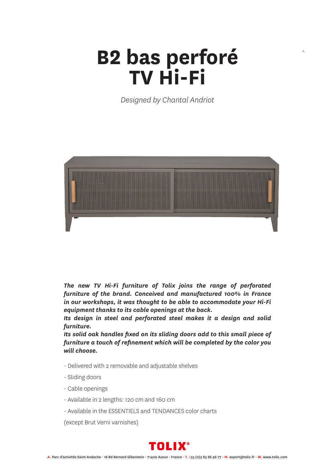## **B2 bas perforé TV Hi-Fi**

*\**

*Designed by Chantal Andriot*



*The new TV Hi-Fi furniture of Tolix joins the range of perforated furniture of the brand. Conceived and manufactured 100% in France in our workshops, it was thought to be able to accommodate your Hi-Fi equipment thanks to its cable openings at the back.*

*Its design in steel and perforated steel makes it a design and solid furniture.*

*Its solid oak handles fixed on its sliding doors add to this small piece of furniture a touch of refinement which will be completed by the color you will choose.*

- Delivered with 2 removable and adjustable shelves
- Sliding doors
- Cable openings
- Available in 2 lengths: 120 cm and 160 cm
- Available in the ESSENTIELS and TENDANCES color charts

(except Brut Verni varnishes)